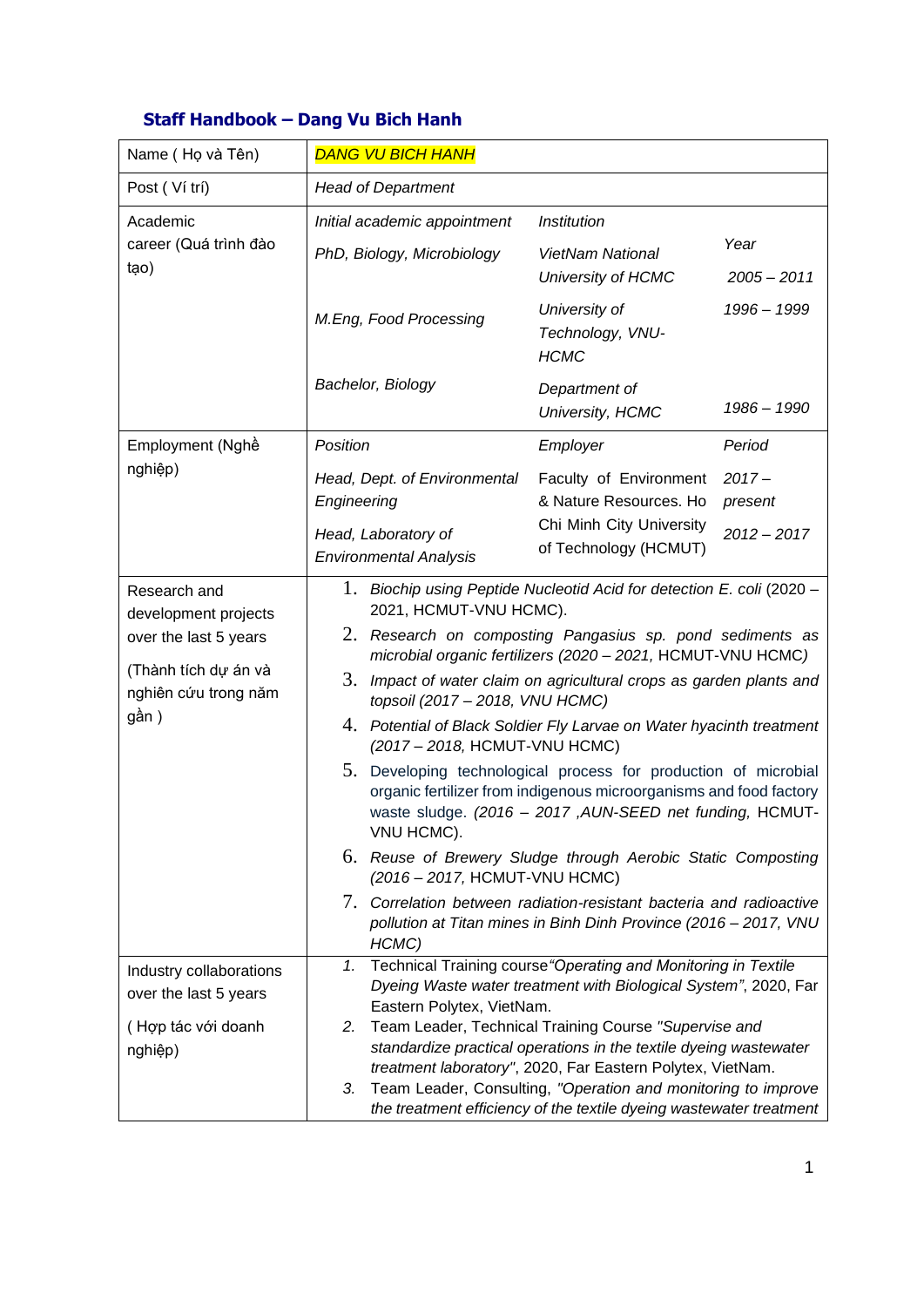| Name (Họ và Tên)                                                                                                       | <b>DANG VU BICH HANH</b>                                                                                                                                             |                                                                                                                                                                                                                                                                                                                                                                                                                                                                                                                                                                                                                                                                                                                                                         |  |
|------------------------------------------------------------------------------------------------------------------------|----------------------------------------------------------------------------------------------------------------------------------------------------------------------|---------------------------------------------------------------------------------------------------------------------------------------------------------------------------------------------------------------------------------------------------------------------------------------------------------------------------------------------------------------------------------------------------------------------------------------------------------------------------------------------------------------------------------------------------------------------------------------------------------------------------------------------------------------------------------------------------------------------------------------------------------|--|
| Post (Ví trí)                                                                                                          | <b>Head of Department</b>                                                                                                                                            |                                                                                                                                                                                                                                                                                                                                                                                                                                                                                                                                                                                                                                                                                                                                                         |  |
| Academic<br>career (Quá trình đào<br>tạo)                                                                              | Initial academic appointment<br>PhD, Biology, Microbiology                                                                                                           | <b>Institution</b><br>Year<br><b>VietNam National</b><br>University of HCMC<br>$2005 - 2011$                                                                                                                                                                                                                                                                                                                                                                                                                                                                                                                                                                                                                                                            |  |
|                                                                                                                        | M.Eng, Food Processing                                                                                                                                               | University of<br>1996 - 1999<br>Technology, VNU-<br><b>HCMC</b>                                                                                                                                                                                                                                                                                                                                                                                                                                                                                                                                                                                                                                                                                         |  |
|                                                                                                                        | Bachelor, Biology                                                                                                                                                    | Department of<br>1986 - 1990<br>University, HCMC                                                                                                                                                                                                                                                                                                                                                                                                                                                                                                                                                                                                                                                                                                        |  |
| Employment (Nghề                                                                                                       | Position                                                                                                                                                             | Employer<br>Period                                                                                                                                                                                                                                                                                                                                                                                                                                                                                                                                                                                                                                                                                                                                      |  |
| nghiệp)                                                                                                                | Head, Dept. of Environmental<br>Engineering<br>Head, Laboratory of<br><b>Environmental Analysis</b>                                                                  | Faculty of Environment<br>$2017 -$<br>& Nature Resources. Ho<br>present<br>Chi Minh City University<br>$2012 - 2017$<br>of Technology (HCMUT)                                                                                                                                                                                                                                                                                                                                                                                                                                                                                                                                                                                                           |  |
| Research and<br>development projects<br>over the last 5 years<br>(Thành tích dự án và<br>nghiên cứu trong năm<br>gần ) | 1.<br>2021, HCMUT-VNU HCMC).<br>3.<br>topsoil (2017 - 2018, VNU HCMC)<br>(2017 - 2018, HCMUT-VNU HCMC)<br>VNU HCMC).<br>(2016 – 2017, HCMUT-VNU HCMC)<br>7.<br>HCMC) | Biochip using Peptide Nucleotid Acid for detection E. coli (2020 -<br>2. Research on composting Pangasius sp. pond sediments as<br>microbial organic fertilizers (2020 - 2021, HCMUT-VNU HCMC)<br>Impact of water claim on agricultural crops as garden plants and<br>4. Potential of Black Soldier Fly Larvae on Water hyacinth treatment<br>5. Developing technological process for production of microbial<br>organic fertilizer from indigenous microorganisms and food factory<br>waste sludge. (2016 - 2017, AUN-SEED net funding, HCMUT-<br>6. Reuse of Brewery Sludge through Aerobic Static Composting<br>Correlation between radiation-resistant bacteria and radioactive<br>pollution at Titan mines in Binh Dinh Province (2016 - 2017, VNU |  |
| Industry collaborations<br>over the last 5 years<br>(Hợp tác với doanh<br>nghiệp)                                      | 1.<br>2.<br>3.                                                                                                                                                       | Technical Training course "Operating and Monitoring in Textile<br>Dyeing Waste water treatment with Biological System", 2020, Far<br>Eastern Polytex, VietNam.<br>Team Leader, Technical Training Course "Supervise and<br>standardize practical operations in the textile dyeing wastewater<br>treatment laboratory", 2020, Far Eastern Polytex, VietNam.<br>Team Leader, Consulting, "Operation and monitoring to improve<br>the treatment efficiency of the textile dyeing wastewater treatment                                                                                                                                                                                                                                                      |  |